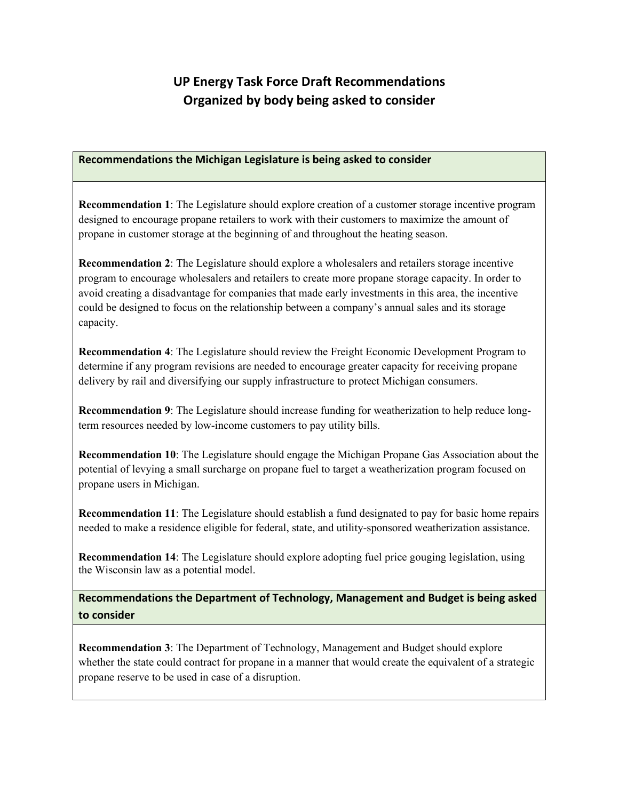## **UP Energy Task Force Draft Recommendations Organized by body being asked to consider**

## **Recommendations the Michigan Legislature is being asked to consider**

**Recommendation 1**: The Legislature should explore creation of a customer storage incentive program designed to encourage propane retailers to work with their customers to maximize the amount of propane in customer storage at the beginning of and throughout the heating season.

**Recommendation 2**: The Legislature should explore a wholesalers and retailers storage incentive program to encourage wholesalers and retailers to create more propane storage capacity. In order to avoid creating a disadvantage for companies that made early investments in this area, the incentive could be designed to focus on the relationship between a company's annual sales and its storage capacity.

**Recommendation 4**: The Legislature should review the Freight Economic Development Program to determine if any program revisions are needed to encourage greater capacity for receiving propane delivery by rail and diversifying our supply infrastructure to protect Michigan consumers.

**Recommendation 9**: The Legislature should increase funding for weatherization to help reduce longterm resources needed by low-income customers to pay utility bills.

**Recommendation 10**: The Legislature should engage the Michigan Propane Gas Association about the potential of levying a small surcharge on propane fuel to target a weatherization program focused on propane users in Michigan.

**Recommendation 11**: The Legislature should establish a fund designated to pay for basic home repairs needed to make a residence eligible for federal, state, and utility-sponsored weatherization assistance.

**Recommendation 14**: The Legislature should explore adopting fuel price gouging legislation, using the Wisconsin law as a potential model.

**Recommendations the Department of Technology, Management and Budget is being asked to consider**

**Recommendation 3**: The Department of Technology, Management and Budget should explore whether the state could contract for propane in a manner that would create the equivalent of a strategic propane reserve to be used in case of a disruption.